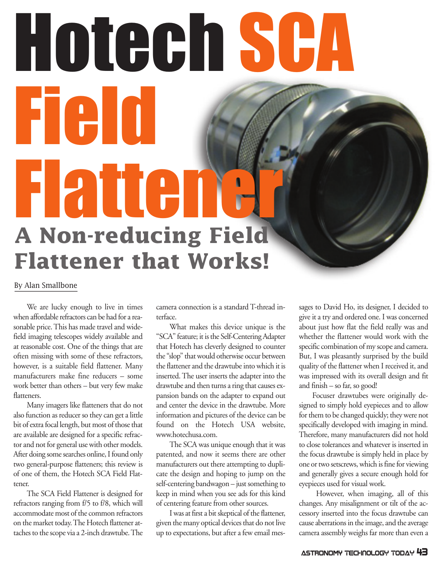# Hotech SCA Field Flattener **A Non-reducing Field**

**Flattener that Works!** 

### By Alan Smallbone

We are lucky enough to live in times when affordable refractors can be had for a reasonable price. This has made travel and widefield imaging telescopes widely available and at reasonable cost. One of the things that are often missing with some of these refractors, however, is a suitable field flattener. Many manufacturers make fine reducers – some work better than others – but very few make flatteners.

Many imagers like flatteners that do not also function as reducer so they can get a little bit of extra focal length, but most of those that are available are designed for a specific refractor and not for general use with other models. After doing some searches online, I found only two general-purpose flatteners; this review is of one of them, the Hotech SCA Field Flattener.

The SCA Field Flattener is designed for refractors ranging from f/5 to f/8, which will accommodate most of the common refractors on the market today. The Hotech flattener attaches to the scope via a 2-inch drawtube. The

camera connection is a standard T-thread interface.

What makes this device unique is the "SCA" feature; it is the Self-Centering Adapter that Hotech has cleverly designed to counter the "slop" that would otherwise occur between the flattener and the drawtube into which it is inserted. The user inserts the adapter into the drawtube and then turns a ring that causes expansion bands on the adapter to expand out and center the device in the drawtube. More information and pictures of the device can be found on the Hotech USA website, www.hotechusa.com.

The SCA was unique enough that it was patented, and now it seems there are other manufacturers out there attempting to duplicate the design and hoping to jump on the self-centering bandwagon – just something to keep in mind when you see ads for this kind of centering feature from other sources.

I was at first a bit skeptical of the flattener, given the many optical devices that do not live up to expectations, but after a few email messages to David Ho, its designer, I decided to give it a try and ordered one. I was concerned about just how flat the field really was and whether the flattener would work with the specific combination of my scope and camera. But, I was pleasantly surprised by the build quality of the flattener when I received it, and was impressed with its overall design and fit and finish – so far, so good!

Focuser drawtubes were originally designed to simply hold eyepieces and to allow for them to be changed quickly; they were not specifically developed with imaging in mind. Therefore, many manufacturers did not hold to close tolerances and whatever is inserted in the focus drawtube is simply held in place by one or two setscrews, which is fine for viewing and generally gives a secure enough hold for eyepieces used for visual work.

However, when imaging, all of this changes. Any misalignment or tilt of the accessory inserted into the focus drawtube can cause aberrations in the image, and the average camera assembly weighs far more than even a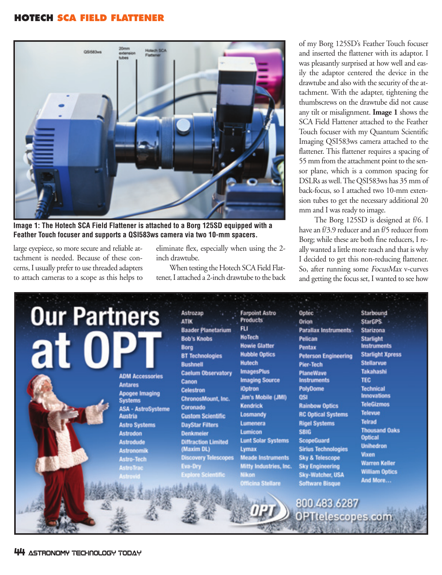# **HOTECH SCA FIELD FLATTENER**



**Image 1: The Hotech SCA Field Flattener is attached to a Borg 125SD equipped with a Feather Touch focuser and supports a QSI583ws camera via two 10-mm spacers.** 

large eyepiece, so more secure and reliable attachment is needed. Because of these concerns, I usually prefer to use threaded adapters to attach cameras to a scope as this helps to

eliminate flex, especially when using the 2 inch drawtube.

When testing the Hotech SCA Field Flattener, I attached a 2-inch drawtube to the back of my Borg 125SD's Feather Touch focuser and inserted the flattener with its adaptor. I was pleasantly surprised at how well and easily the adaptor centered the device in the drawtube and also with the security of the attachment. With the adapter, tightening the thumbscrews on the drawtube did not cause any tilt or misalignment. **Image 1** shows the SCA Field Flattener attached to the Feather Touch focuser with my Quantum Scientific Imaging QSI583ws camera attached to the flattener. This flattener requires a spacing of 55 mm from the attachment point to the sensor plane, which is a common spacing for DSLRs as well. The QSI583ws has 35 mm of back-focus, so I attached two 10-mm extension tubes to get the necessary additional 20 mm and I was ready to image.

The Borg 125SD is designed at f/6. I have an f/3.9 reducer and an f/5 reducer from Borg; while these are both fine reducers, I really wanted a little more reach and that is why I decided to get this non-reducing flattener. So, after running some FocusMax v-curves and getting the focus set, I wanted to see how

| <b>Our Partners</b><br>at | <b>ADM Accessories</b><br><b>Antares</b><br><b>Apogee Imaging</b><br><b>Systems</b><br><b>ASA - AstroSysteme</b><br>Austria<br><b>Astro Systems</b><br><b>Astrodon</b><br><b>Astrodude</b><br><b>Astronomik</b><br><b>Astro-Tech</b><br><b>AstroTrac</b><br><b>Astrovid</b> | <b>Astrozap</b><br><b>ATIK</b><br><b>Baader Planetarium</b><br><b>Bob's Knobs</b><br>Borg<br><b>BT Technologies</b><br><b>Bushnell</b><br><b>Caelum Observatory</b><br>Canon<br><b>Celestron</b><br><b>ChronosMount, Inc.</b><br>Coronado<br><b>Custom Scientific</b><br><b>DayStar Filters</b><br><b>Denkmeier</b><br><b>Diffraction Limited</b><br>(Maxim DL)<br><b>Discovery Telescopes</b><br>Eva-Dry<br><b>Explore Scientific</b> | <b>Farpoint Astro</b><br><b>Products</b><br><b>FU</b><br>HoTech<br><b>Howie Glatter</b><br><b>Hubble Optics</b><br>Hutech<br><b>ImagesPlus</b><br><b>Imaging Source</b><br><b>iOptron</b><br>Jim's Mobile (JMI)<br><b>Kendrick</b><br>Losmandy<br>Lumenera<br>Lumicon<br><b>Lunt Solar Systems</b><br>Lymax<br><b>Meade Instruments</b><br>Mitty Industries, Inc.<br>Nikon<br><b>Officina Stellare</b> | Optec<br><b>Orion</b><br><b>Parallax Instruments</b><br>Pelican<br><b>Pentax</b><br><b>Peterson Engineering</b><br>Pier-Tech<br><b>PlaneWave</b><br><b>Instruments</b><br><b>PolyDome</b><br>OSI<br><b>Rainbow Optics</b><br><b>RC Optical Systems</b><br><b>Rigel Systems</b><br><b>SBIG</b><br><b>ScopeGuard</b><br><b>Sirius Technologies</b><br><b>Sky &amp; Telescope</b><br><b>Sky Engineering</b><br><b>Sky-Watcher, USA</b><br><b>Software Bisque</b> | Starbound<br>StarGPS<br>Starizona<br><b>Starlight</b><br><b>Instruments</b><br><b>Starlight Xpress</b><br><b>Stellarvue</b><br>Takahashi<br><b>TEC</b><br><b>Technical</b><br><b>Innovations</b><br><b>TeleGizmos</b><br><b>Televue</b><br><b>Telrad</b><br><b>Thousand Oaks</b><br><b>Optical</b><br><b>Unihedron</b><br><b>Vixen</b><br><b>Warren Keller</b><br><b>William Optics</b><br>And More |
|---------------------------|-----------------------------------------------------------------------------------------------------------------------------------------------------------------------------------------------------------------------------------------------------------------------------|----------------------------------------------------------------------------------------------------------------------------------------------------------------------------------------------------------------------------------------------------------------------------------------------------------------------------------------------------------------------------------------------------------------------------------------|--------------------------------------------------------------------------------------------------------------------------------------------------------------------------------------------------------------------------------------------------------------------------------------------------------------------------------------------------------------------------------------------------------|---------------------------------------------------------------------------------------------------------------------------------------------------------------------------------------------------------------------------------------------------------------------------------------------------------------------------------------------------------------------------------------------------------------------------------------------------------------|-----------------------------------------------------------------------------------------------------------------------------------------------------------------------------------------------------------------------------------------------------------------------------------------------------------------------------------------------------------------------------------------------------|
|                           |                                                                                                                                                                                                                                                                             |                                                                                                                                                                                                                                                                                                                                                                                                                                        |                                                                                                                                                                                                                                                                                                                                                                                                        | 800.483.6287<br>PTtelescopes.com                                                                                                                                                                                                                                                                                                                                                                                                                              |                                                                                                                                                                                                                                                                                                                                                                                                     |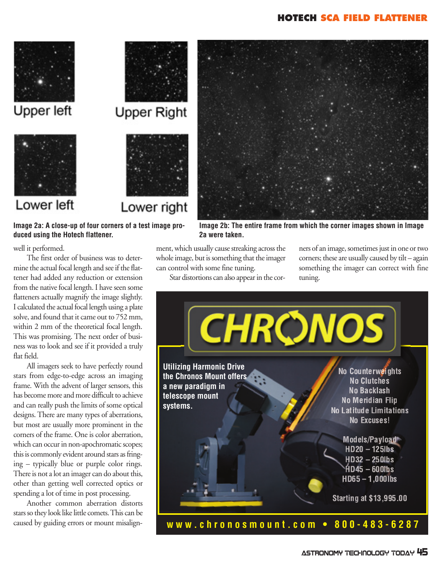### **HOTECH SCA FIELD FLATTENER**



Upper left



# Lower left



Lower right

**Image 2a: A close-up of four corners of a test image produced using the Hotech flattener.**



**Image 2b: The entire frame from which the corner images shown in Image 2a were taken.**

ment, which usually cause streaking across the whole image, but is something that the imager can control with some fine tuning.

Star distortions can also appear in the cor-

ners of an image, sometimes just in one or two corners; these are usually caused by tilt – again something the imager can correct with fine tuning.



## well it performed.

The first order of business was to determine the actual focal length and see if the flattener had added any reduction or extension from the native focal length. I have seen some flatteners actually magnify the image slightly. I calculated the actual focal length using a plate solve, and found that it came out to 752 mm, within 2 mm of the theoretical focal length. This was promising. The next order of business was to look and see if it provided a truly flat field.

All imagers seek to have perfectly round stars from edge-to-edge across an imaging frame. With the advent of larger sensors, this has become more and more difficult to achieve and can really push the limits of some optical designs. There are many types of aberrations, but most are usually more prominent in the corners of the frame. One is color aberration, which can occur in non-apochromatic scopes; this is commonly evident around stars as fringing – typically blue or purple color rings. There is not a lot an imager can do about this, other than getting well corrected optics or spending a lot of time in post processing.

Another common aberration distorts stars so they look like little comets. This can be caused by guiding errors or mount misalign-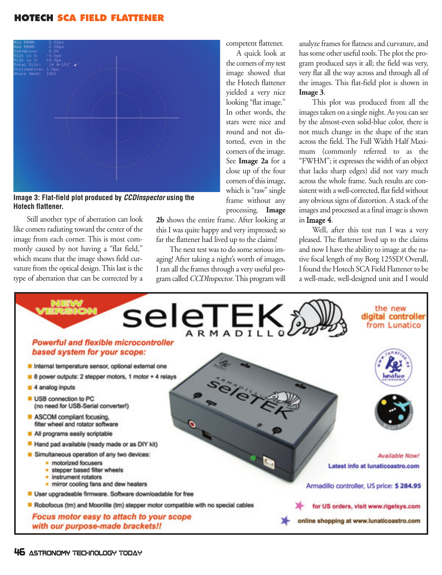# **HOTECH SCA FIELD FLATTENER**



**Image 3: Flat-field plot produced by CCDInspector using the Hotech flattener.** 

Still another type of aberration can look like comets radiating toward the center of the image from each corner. This is most commonly caused by not having a "flat field," which means that the image shows field curvature from the optical design. This last is the type of aberration that can be corrected by a

processing. **Image 2b** shows the entire frame. After looking at this I was quite happy and very impressed; so far the flattener had lived up to the claims!

competent flattener. A quick look at the corners of my test image showed that the Hotech flattener yielded a very nice looking "flat image." In other words, the stars were nice and round and not distorted, even in the corners of the image. See **Image 2a** for a close up of the four corners of this image, which is "raw" single frame without any

The next test was to do some serious imaging! After taking a night's worth of images, I ran all the frames through a very useful program called CCDInspector. This program will analyze frames for flatness and curvature, and has some other useful tools. The plot the program produced says it all; the field was very, very flat all the way across and through all of the images. This flat-field plot is shown in **Image 3**.

This plot was produced from all the images taken on a single night. As you can see by the almost-even solid-blue color, there is not much change in the shape of the stars across the field. The Full Width Half Maximum (commonly referred to as the "FWHM"; it expresses the width of an object that lacks sharp edges) did not vary much across the whole frame. Such results are consistent with a well-corrected, flat field without any obvious signs of distortion. A stack of the images and processed as a final image is shown in Image 4.

Well, after this test run I was a very pleased. The flattener lived up to the claims and now I have the ability to image at the native focal length of my Borg 125SD! Overall, I found the Hotech SCA Field Flattener to be a well-made, well-designed unit and I would